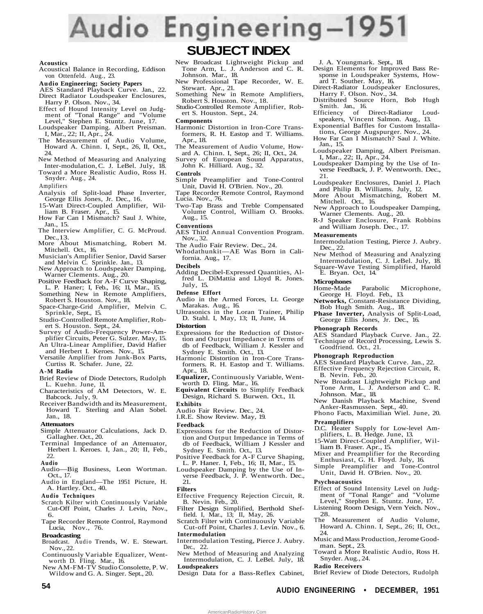# Audio Engineering-1951

#### **Acoustics**

- Acoustical Balance in Recording, Eddison von Ottenfeld. Aug., 23.
- **Audio Engineering; Society Papers**
- AES Standard Playback Curve. Jan., 22. Direct Radiator Loudspeaker Enclosures, Harry P. Olson. Nov., 34.
- Effect of Hound Intensity Level on Judg-ment of "Tonal Range" and "Volume Level," Stephen E. Stuntz. June, 17.
- Loudspeaker Damping. Albert Preisman. I, Mar., 22; II, Apr., 24.
- The Measurement of Audio Volume, Howard A. Chinn. I, Sept., 26, II, Oct., 24.
- New Method of Measuring and Analyzing Inter-modulation, C. J. LeBel. July, 18.
- Toward a More Realistic Audio, Ross H. Snyder. Aug., 24.

Amplifiers

- Analysis of Split-load Phase Inverter, George Ellis Jones, Jr. Dec., 16.
- 15-Watt Direct-Coupled Amplifier, William B. Fraser. Apr., 15.
- How Far Can I Mismatch? Saul J. White, Jan., 15.
- The Interview Amplifier, C. G. McProud. Dec., 13.
- More About Mismatching, Robert M. Mitchell. Oct., 16.
- Musician's Amplifier Senior, David Sarser and Melvin C. Sprinkle. Jan., 13.
- New Approach to Loudspeaker Damping, Warner Clements. Aug., 20. Positive Feedback for A-F Curve Shaping,
- L. P. Haner; I, Feb., 16; 11, Mar., 15.
- Something New in Remote Amplifiers, Robert S. Houston. Nov., 18.
- Space-Charge-Grid Amplifier, Melvin C. Sprinkle, Sept., 15.
- Studio-Controlled Remote Amplifier, Rob-
- ert S. Houston. Sept., 24. Survey of Audio-Frequency Power-Amplifier Circuits, Peter G. Sulzer. May, 15.
- An Ultra-Linear Amplifier, David Hafier and Herbert I. Keroes. Nov., 15.
- Versatile Amplifier from Junk-Box Parts, Curtiss R. Schafer. June, 22.
- **A-M Radio**
- Brief Review of Diode Detectors, Rudolph L. Kuehn. June, 11.
- Characteristics of AM Detectors, W. E. Babcock. July, 9.
- Receiver Bandwidth and its Measurement, Howard T. Sterling and Alan Sobel. Jan., 18.

#### **Attenuators**

- Simple Attenuator Calculations, Jack D. Gallagher. Oct., 20.
- Terminal Impedance of an Attenuator, Herbert I. Keroes. I, Jan., 20; II, Feb., 22.
- **Audio**
- Audio—Big Business, Leon Wortman. Oct., 17. Audio in England—The 1951 Picture, H.
- A. Hartley. Oct., 40.
- **Audio Techniques**
- Scratch Kilter with Continuously Variable Cut-Off Point, Charles J. Levin, Nov., 6.
- Tape Recorder Remote Control, Raymond Lucia, Nov., 76.
- **Broadcasting**
- Broadcast. Audio Trends, W. E. Stewart. Nov., 22.
- Continuously Variable Equalizer, Wentworth D. Fling. Mar., 16. New AM-FM-TV Studio Consolette, P. W.
- Wildow and G. A. Singer. Sept., 20.

## New Broadcast Lightweight Pickup and **SUBJECT INDEX**

- Tone Arm, L. J. Anderson and C. R. Johnson. Mar., 18.
- New Professional Tape Recorder, W. E. Stewart. Apr., 21. Something New in Remote Amplifiers,
- Robert S. Houston. Nov., 18.
- Studio-Controlled Remote Amplifier, Robert S. Houston. Sept., 24.

#### **Components**

- Harmonic Distortion in Iron-Core Transformers, R. H. Eastop and T. Williams. Apr., 18.
- The Measurement of Audio Volume, Howard A. Chinn. I, Sept., 26; II, Oct., 24.
- Survey of European Sound Apparatus, John K. Hilliard. Aug., 32.
- **Controls**
- Simple Preamplifier and Tone-Control Unit, David H. O'Brien. Nov., 20.
- Tape Recorder Remote Control, Raymond Lucia. Nov., 76.
- Two-Tap Brass and Treble Compensated Volume Control, William O. Brooks. Aug., 15.
- **Conventions**
- AES Third Annual Convention Program. Nov., 32.
- The Audio Fair Review. Dec., 24.
- Whodathunkit—AE Was Born in California. Aug., 17.
- **Decibels**
- Adding Decibel-Expressed Quantities, Alfred L. DiMattia and Lloyd R. Jones. July, 15.
- **Defense Effort**
- Audio in the Armed Forces, Lt. George Marakas. Aug., 16.
- Ultrasonics in the Loran Trainer, Philip D. Stahl. I, May, 13; II, June, 14.
- **Distortion**
- Expressions for the Reduction of Distortion and Output Impedance in Terms of db of Feedback, William J. Kessler and
- Sydney E. Smith. Oct., 13. Harmonic Distortion in Iron-Core Transformers. R. H. Eastop and T. Williams. Apr., 18.
- **Equalizer,** Continuously Variable, Went-worth D. Fling. Mar., 16.
- **Equivalent Circuits** to Simplify Feedback Design, Richard S. Burwen. Oct., 11.
- **Exhibits**
- Audio Fair Review. Dec., 24.
- I.R.E. Show Review. May, 19.
- **Feedback**
- Expressions for the Reduction of Distortion and Output Impedance in Terms of db of Feedback, William J Kessler and Sydney E. Smith. Oct., 13.
- Positive Feedback for A-F Curve Shaping, L. P. Haner. I, Feb., 16; II, Mar., 15.
- Loudspeaker Damping by the Use of Inverse Feedback, J. P. Wentworth. Dec., 21.
- **Filters**
- Effective Frequency Rejection Circuit, R. B. Nevin. Feb., 20.
- Filter Design Simplified, Berthold Shef-field. I, Mar., 13; II, May, 26.
- Scratch Filter with Continuously Variable Cut-off Point, Charles J. Levin. Nov., 6. **Intermodulation**
- Intermodulation Testing, Pierce J. Aubry. Dec., 22.
- New Method of Measuring and Analyzing Intermodulation, C. J. LeBel. July, 18. **Loudspeakers**
- Design Data for a Bass-Reflex Cabinet,

AmericanRadioHistory.Com

- J. A. Youngmark. Sept., 18.
- Design Elements for Improved Bass Response in Loudspeaker Systems, Howard T. Souther. May, 16.
- Direct-Radiator Loudspeaker Enclosures, Harry F. Olson. Nov., 34.
- Distributed Source Horn, Bob Hugh Smith. Jan., 16.
- Efficiency of Direct-Radiator Loud-speakers, Vincent Salmon. Aug., 13.
- Exponential Baffles for Custom Installations, George Augspurger. Nov., 24.
- How Far Can I Mismatch? Saul J. White. Jan., 15.
- Loudspeaker Damping, Albert Preisman. I, Mar., 22; II, Apr., 24.
- Loudspeaker Damping by the Use of In-verse Feedback, J. P. Wentworth. Dec., 21.
- Loudspeaker Enclosures, Daniel J. Plach
- and Philip B. Williams. July, 12. More About Mismatching, Robert M. Mitchell. Oct., 16.
- New Approach to Loudspeaker Damping, Warner Clements. Aug., 20.
- R-J Speaker Enclosure, Frank Robbins and William Joseph. Dec., 17.

#### **Measurements**

**Microphones**

- Intermodulation Testing, Pierce J. Aubry. Dec., 22.
- New Method of Measuring and Analyzing Intermodulation, C. J. LeBel. July, 18. Square-Wave Testing Simplified, Harold E. Bryan. Oct, 14.

Home-Made Parabolic Microphone, George H. Floyd. Feb., 13. **Networks,** Constant-Resistance Dividing,

**Phase Inverter,** Analysis of Split-Load, George Ellis Jones, Jr. Dec., 16.

AES Standard Playback Curve. Jan., 22. Technique of Record Processing, Lewis S.

AES Standard Playback Curve. Jan., 22. Effective Frequency Rejection Circuit, R.

New Broadcast Lightweight Pickup and Tone Arm, L. J. Anderson and C. R.

New Danish Playback Machine, Svend Anker-Rasmussen. Sept., 40. Phono Facts, Maximilian Wiel. June, 20.

D.C. Heater Supply for Low-level Amplifiers, L. B. Hedge. June, 13. 15-Watt Direct-Coupled Amplifier, Wil-

Mixer and Preamplifier for the Recording Enthusiast, G. H. Floyd. July, 16. Simple Preamplifier and Tone-Control Unit, David H. O'Brien. Nov., 20.

Effect of Sound Intensity Level on Judg-ment of "Tonal Range" and "Volume Level," Stephen E. Stuntz. June, 17. Listening Room Design, Vern Yeich. Nov.,

The Measurement of Audio Volume, Howard A. Chinn. I, Sept., 26; II, Oct.,

Music and Mass Production, Jerome Good-

Toward a More Realistic Audio, Ross H.

Brief Review of Diode Detectors, Rudolph

Bob Hugh Smith. Aug., 18.

**Phonograph Records**

Goodfriend. Oct., 21. **Phonograph Reproduction**

B. Nevin. Feb., 20.

Johnson. Mar., 18.

liam B. Fraser. Apr., 15.

**Preamplifiers**

**Psychoacoustics**

man. Sept., 23.

Snyder. Aug., 24. **Radio Receivers**

28.

24.